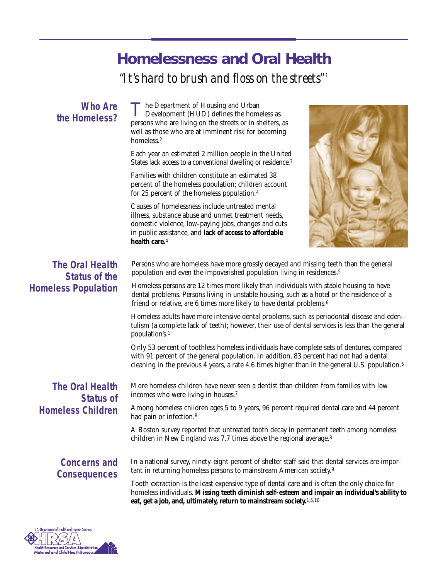## **Homelessness and Oral Health** *"It's hard to brush and floss on the streets" <sup>1</sup>*

| <b>Who Are</b><br>the Homeless?                                              | The Department of Housing and Urban<br>Development (HUD) defines the homeless as<br>persons who are living on the streets or in shelters, as<br>well as those who are at imminent risk for becoming<br>homeless. <sup>2</sup><br>Each year an estimated 2 million people in the United<br>States lack access to a conventional dwelling or residence. <sup>3</sup><br>Families with children constitute an estimated 38<br>percent of the homeless population; children account<br>for 25 percent of the homeless population. <sup>4</sup><br>Causes of homelessness include untreated mental<br>illness, substance abuse and unmet treatment needs,<br>domestic violence, low-paying jobs, changes and cuts<br>in public assistance, and lack of access to affordable<br>health care. <sup>4</sup> |  |
|------------------------------------------------------------------------------|-----------------------------------------------------------------------------------------------------------------------------------------------------------------------------------------------------------------------------------------------------------------------------------------------------------------------------------------------------------------------------------------------------------------------------------------------------------------------------------------------------------------------------------------------------------------------------------------------------------------------------------------------------------------------------------------------------------------------------------------------------------------------------------------------------|--|
| <b>The Oral Health</b><br><b>Status of the</b><br><b>Homeless Population</b> | Persons who are homeless have more grossly decayed and missing teeth than the general<br>population and even the impoverished population living in residences. <sup>5</sup>                                                                                                                                                                                                                                                                                                                                                                                                                                                                                                                                                                                                                         |  |
|                                                                              | Homeless persons are 12 times more likely than individuals with stable housing to have<br>dental problems. Persons living in unstable housing, such as a hotel or the residence of a<br>friend or relative, are 6 times more likely to have dental problems. <sup>6</sup>                                                                                                                                                                                                                                                                                                                                                                                                                                                                                                                           |  |
|                                                                              | Homeless adults have more intensive dental problems, such as periodontal disease and eden-<br>tulism (a complete lack of teeth); however, their use of dental services is less than the general<br>population's. <sup>1</sup>                                                                                                                                                                                                                                                                                                                                                                                                                                                                                                                                                                       |  |
|                                                                              | Only 53 percent of toothless homeless individuals have complete sets of dentures, compared<br>with 91 percent of the general population. In addition, 83 percent had not had a dental<br>cleaning in the previous 4 years, a rate 4.6 times higher than in the general U.S. population. <sup>5</sup>                                                                                                                                                                                                                                                                                                                                                                                                                                                                                                |  |
| <b>The Oral Health</b><br><b>Status of</b><br><b>Homeless Children</b>       | More homeless children have never seen a dentist than children from families with low<br>incomes who were living in houses. <sup>7</sup>                                                                                                                                                                                                                                                                                                                                                                                                                                                                                                                                                                                                                                                            |  |
|                                                                              | Among homeless children ages 5 to 9 years, 96 percent required dental care and 44 percent<br>had pain or infection. <sup>8</sup>                                                                                                                                                                                                                                                                                                                                                                                                                                                                                                                                                                                                                                                                    |  |
|                                                                              | A Boston survey reported that untreated tooth decay in permanent teeth among homeless<br>children in New England was 7.7 times above the regional average. <sup>8</sup>                                                                                                                                                                                                                                                                                                                                                                                                                                                                                                                                                                                                                             |  |
| <b>Concerns and</b><br><b>Consequences</b>                                   | In a national survey, ninety-eight percent of shelter staff said that dental services are impor-<br>tant in returning homeless persons to mainstream American society.9                                                                                                                                                                                                                                                                                                                                                                                                                                                                                                                                                                                                                             |  |
|                                                                              | Tooth extraction is the least expensive type of dental care and is often the only choice for<br>homeless individuals. Missing teeth diminish self-esteem and impair an individual's ability to<br>eat, get a job, and, ultimately, return to mainstream society. <sup>1,5,10</sup>                                                                                                                                                                                                                                                                                                                                                                                                                                                                                                                  |  |